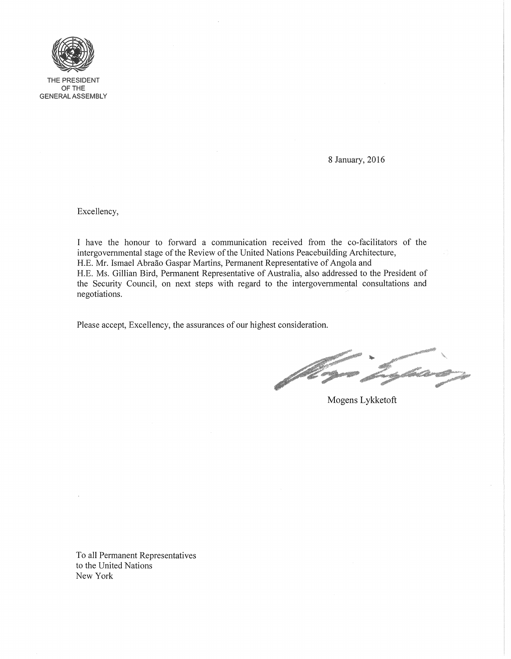

THE PRESIDENT OFTHE GENERAL ASSEMBLY

8 January, 2016

Excellency,

I have the honour to forward a communication received from the co-facilitators of the intergovernmental stage of the Review of the United Nations Peacebuilding Architecture, H.E. Mr. Ismael Abraao Gaspar Martins, Permanent Representative of Angola and H.E. Ms. Gillian Bird, Permanent Representative of Australia, also addressed to the President of the Security Council, on next steps with regard to the intergovernmental consultations and negotiations.

Please accept, Excellency, the assurances of our highest consideration.

AND MARKET **CONTRACTOR** 

Mogens Lykketoft

To all Permanent Representatives to the United Nations New York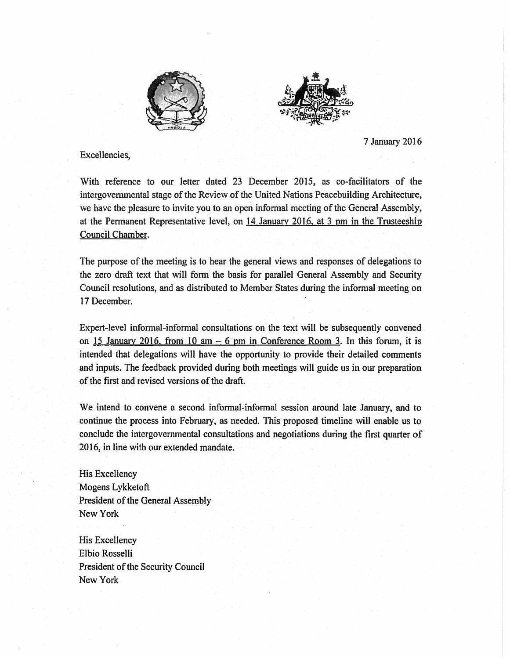



7 January 2016

Excellencies,

With reference to our letter dated 23 December 2015, as co-facilitators of the intergovernmental stage of the Review of the United Nations Peacebuilding Architecture, we have the pleasure to invite you to an open informal meeting of the General Assembly, at the Permanent Representative level, on 14 January 2016. at 3 pm in the Trusteeship Council Chamber.

The purpose of the meeting is to hear the general views and responses of delegations to the zero draft text that will form the basis for parallel General Assembly and Security Council resolutions, and as distributed to Member States during the informal meeting on 17 December.

Expert-level informal-informal consultations on the text will be subsequently convened. on 15 January 2016. from 10 am  $-6$  pm in Conference Room 3. In this forum, it is intended that delegations will have the opportunity to provide their detailed comments and inputs. The feedback provided during both meetings will guide us in our preparation of the first and revised versions of the draft.

We intend to convene a second informal-informal session around late January, and to continue the process into February, as needed. This proposed timeline will enable us to conclude the intergovernmental consultations and negotiations during the first quarter of 2016, in line with our extended mandate.

His Excellency Mogens Lykketoft President of the General Assembly New York

His Excellency Elbio Rosselli President of the Security Council New York